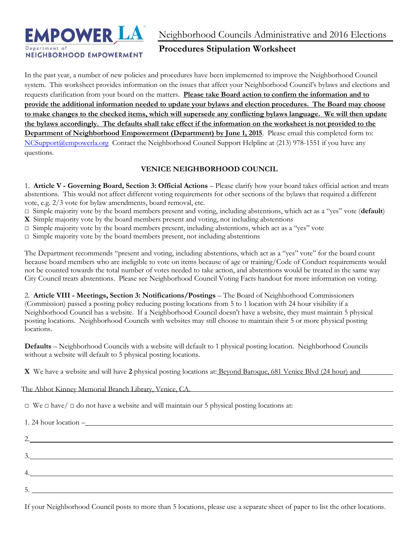

Neighborhood Councils Administrative and 2016 Elections

# **Procedures Stipulation Worksheet**

In the past year, a number of new policies and procedures have been implemented to improve the Neighborhood Council system. This worksheet provides information on the issues that affect your Neighborhood Council's bylaws and elections and requests clarification from your board on the matters. **Please take Board action to confirm the information and to provide the additional information needed to update your bylaws and election procedures. The Board may choose to make changes to the checked items, which will supersede any conflicting bylaws language. We will then update the bylaws accordingly. The defaults shall take effect if the information on the worksheet is not provided to the Department of Neighborhood Empowerment (Department) by June 1, 2015**. Please email this completed form to: [NCSupport@empowerla.org](mailto:NCSupport@empowerla.org) Contact the Neighborhood Council Support Helpline at (213) 978-1551 if you have any questions.

# **VENICE NEIGHBORHOOD COUNCIL**

1. **Article V - Governing Board, Section 3: Official Actions** – Please clarify how your board takes official action and treats abstentions. This would not affect different voting requirements for other sections of the bylaws that required a different vote, e.g. 2/3 vote for bylaw amendments, board removal, etc.

□ Simple majority vote by the board members present and voting, including abstentions, which act as a "yes" vote (**default**)

**X** Simple majority vote by the board members present and voting, not including abstentions

 $\square$  Simple majority vote by the board members present, including abstentions, which act as a "yes" vote

 $\Box$  Simple majority vote by the board members present, not including abstentions

The Department recommends "present and voting, including abstentions, which act as a "yes" vote" for the board count because board members who are ineligible to vote on items because of age or training/Code of Conduct requirements would not be counted towards the total number of votes needed to take action, and abstentions would be treated in the same way City Council treats abstentions. Please see Neighborhood Council Voting Facts handout for more information on voting.

2. **Article VIII - Meetings, Section 3: Notifications/Postings** – The Board of Neighborhood Commissioners (Commission) passed a posting policy reducing posting locations from 5 to 1 location with 24 hour visibility if a Neighborhood Council has a website. If a Neighborhood Council doesn't have a website, they must maintain 5 physical posting locations. Neighborhood Councils with websites may still choose to maintain their 5 or more physical posting locations.

**Defaults** – Neighborhood Councils with a website will default to 1 physical posting location. Neighborhood Councils without a website will default to 5 physical posting locations.

**X** We have a website and will have **2** physical posting locations at: Beyond Baroque, 681 Venice Blvd (24 hour) and

The Abbot Kinney Memorial Branch Library, Venice, CA.

 $\Box$  We  $\Box$  have  $\Box$  do not have a website and will maintain our 5 physical posting locations at:

| 1. 24 hour location – |  |
|-----------------------|--|
|                       |  |
|                       |  |
|                       |  |
|                       |  |
|                       |  |
|                       |  |

If your Neighborhood Council posts to more than 5 locations, please use a separate sheet of paper to list the other locations.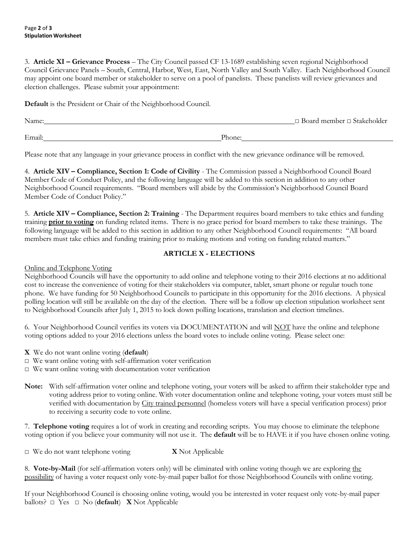#### Page **2** of **3 Stipulation Worksheet**

3. **Article XI – Grievance Process** – The City Council passed CF 13-1689 establishing seven regional Neighborhood Council Grievance Panels – South, Central, Harbor, West, East, North Valley and South Valley. Each Neighborhood Council may appoint one board member or stakeholder to serve on a pool of panelists. These panelists will review grievances and election challenges. Please submit your appointment:

**Default** is the President or Chair of the Neighborhood Council.

| Name:  |        | $\Box$ Board member $\Box$ Stakeholder |
|--------|--------|----------------------------------------|
|        |        |                                        |
| Email: | Phone: |                                        |

Please note that any language in your grievance process in conflict with the new grievance ordinance will be removed.

4. **Article XIV – Compliance, Section 1: Code of Civility** - The Commission passed a Neighborhood Council Board Member Code of Conduct Policy, and the following language will be added to this section in addition to any other Neighborhood Council requirements. "Board members will abide by the Commission's Neighborhood Council Board Member Code of Conduct Policy."

5. **Article XIV – Compliance, Section 2: Training** - The Department requires board members to take ethics and funding training **prior to voting** on funding related items. There is no grace period for board members to take these trainings. The following language will be added to this section in addition to any other Neighborhood Council requirements: "All board members must take ethics and funding training prior to making motions and voting on funding related matters."

### **ARTICLE X - ELECTIONS**

Online and Telephone Voting

Neighborhood Councils will have the opportunity to add online and telephone voting to their 2016 elections at no additional cost to increase the convenience of voting for their stakeholders via computer, tablet, smart phone or regular touch tone phone. We have funding for 50 Neighborhood Councils to participate in this opportunity for the 2016 elections. A physical polling location will still be available on the day of the election. There will be a follow up election stipulation worksheet sent to Neighborhood Councils after July 1, 2015 to lock down polling locations, translation and election timelines.

6. Your Neighborhood Council verifies its voters via DOCUMENTATION and will NOT have the online and telephone voting options added to your 2016 elections unless the board votes to include online voting. Please select one:

- **X** We do not want online voting (**default**)
- □ We want online voting with self-affirmation voter verification
- □ We want online voting with documentation voter verification
- **Note:** With self-affirmation voter online and telephone voting, your voters will be asked to affirm their stakeholder type and voting address prior to voting online. With voter documentation online and telephone voting, your voters must still be verified with documentation by City trained personnel (homeless voters will have a special verification process) prior to receiving a security code to vote online.

7. **Telephone voting** requires a lot of work in creating and recording scripts. You may choose to eliminate the telephone voting option if you believe your community will not use it. The **default** will be to HAVE it if you have chosen online voting.

□ We do not want telephone voting **X** Not Applicable

8. **Vote-by-Mail** (for self-affirmation voters only) will be eliminated with online voting though we are exploring the possibility of having a voter request only vote-by-mail paper ballot for those Neighborhood Councils with online voting.

If your Neighborhood Council is choosing online voting, would you be interested in voter request only vote-by-mail paper ballots? □ Yes □ No (**default**) **X** Not Applicable